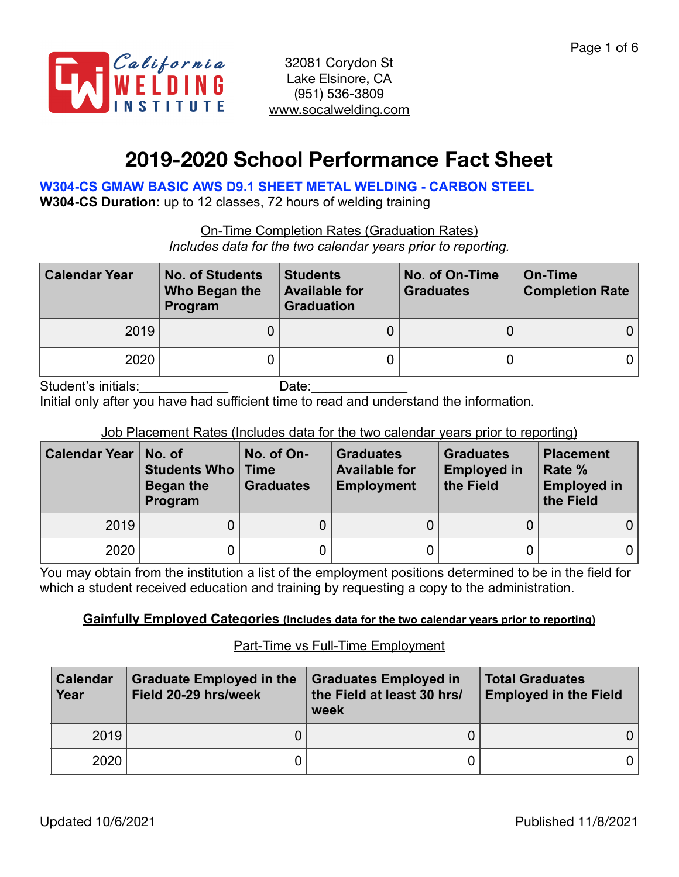

# **2019-2020 School Performance Fact Sheet**

**W304-CS GMAW BASIC AWS D9.1 SHEET METAL WELDING - CARBON STEEL** 

**W304-CS Duration:** up to 12 classes, 72 hours of welding training

On-Time Completion Rates (Graduation Rates)

*Includes data for the two calendar years prior to reporting.*

| <b>Calendar Year</b> | <b>No. of Students</b><br>Who Began the<br>Program | <b>Students</b><br><b>Available for</b><br><b>Graduation</b> | No. of On-Time<br><b>Graduates</b> | On-Time<br><b>Completion Rate</b> |
|----------------------|----------------------------------------------------|--------------------------------------------------------------|------------------------------------|-----------------------------------|
| 2019                 |                                                    |                                                              |                                    |                                   |
| 2020                 |                                                    |                                                              |                                    |                                   |

Student's initials: example and Date:

Initial only after you have had sufficient time to read and understand the information.

### Job Placement Rates (Includes data for the two calendar years prior to reporting)

| Calendar Year | No. of<br><b>Students Who   Time</b><br>Began the<br>Program | No. of On-<br><b>Graduates</b> | <b>Graduates</b><br><b>Available for</b><br><b>Employment</b> | <b>Graduates</b><br><b>Employed in</b><br>the Field | <b>Placement</b><br>Rate %<br><b>Employed in</b><br>the Field |
|---------------|--------------------------------------------------------------|--------------------------------|---------------------------------------------------------------|-----------------------------------------------------|---------------------------------------------------------------|
| 2019          |                                                              |                                |                                                               |                                                     |                                                               |
| 2020          |                                                              |                                |                                                               |                                                     | 0                                                             |

You may obtain from the institution a list of the employment positions determined to be in the field for which a student received education and training by requesting a copy to the administration.

### **Gainfully Employed Categories (Includes data for the two calendar years prior to reporting)**

### Part-Time vs Full-Time Employment

| <b>Calendar</b><br>Year | <b>Graduate Employed in the</b><br>Field 20-29 hrs/week | <b>Graduates Employed in</b><br>the Field at least 30 hrs/<br>week | <b>Total Graduates</b><br><b>Employed in the Field</b> |
|-------------------------|---------------------------------------------------------|--------------------------------------------------------------------|--------------------------------------------------------|
| 2019                    |                                                         |                                                                    |                                                        |
| 2020                    |                                                         |                                                                    |                                                        |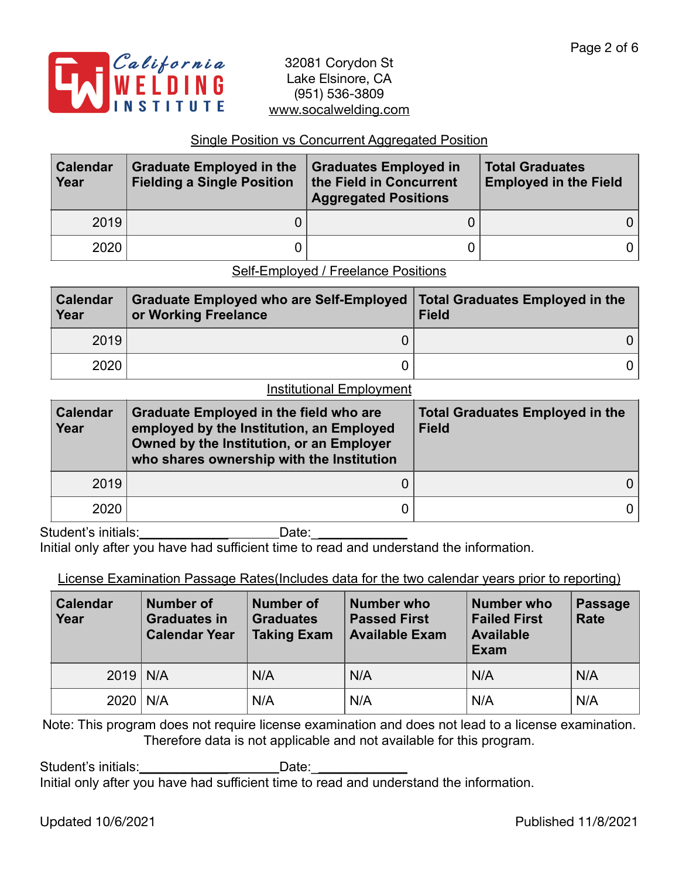

#### Single Position vs Concurrent Aggregated Position

| <b>Calendar</b><br>Year | <b>Graduate Employed in the</b><br><b>Fielding a Single Position</b> | <b>Graduates Employed in</b><br>the Field in Concurrent<br><b>Aggregated Positions</b> | <b>Total Graduates</b><br><b>Employed in the Field</b> |  |
|-------------------------|----------------------------------------------------------------------|----------------------------------------------------------------------------------------|--------------------------------------------------------|--|
| 2019                    |                                                                      |                                                                                        | 0 I                                                    |  |
| 2020                    |                                                                      |                                                                                        | 0 I                                                    |  |

Self-Employed / Freelance Positions

| <b>Calendar</b><br>Year | Graduate Employed who are Self-Employed   Total Graduates Employed in the<br>or Working Freelance | <b>Field</b> |
|-------------------------|---------------------------------------------------------------------------------------------------|--------------|
| 2019                    |                                                                                                   |              |
| 2020                    |                                                                                                   |              |

#### Institutional Employment

| <b>Calendar</b><br>Year | <b>Graduate Employed in the field who are</b><br>employed by the Institution, an Employed<br>Owned by the Institution, or an Employer<br>who shares ownership with the Institution | <b>Total Graduates Employed in the</b><br><b>Field</b> |  |  |
|-------------------------|------------------------------------------------------------------------------------------------------------------------------------------------------------------------------------|--------------------------------------------------------|--|--|
| 2019                    |                                                                                                                                                                                    |                                                        |  |  |
| 2020                    |                                                                                                                                                                                    |                                                        |  |  |

Student's initials: example and Date:

Initial only after you have had sufficient time to read and understand the information.

### License Examination Passage Rates(Includes data for the two calendar years prior to reporting)

| Calendar<br>Year | <b>Number of</b><br><b>Graduates in</b><br><b>Calendar Year</b> | <b>Number of</b><br><b>Graduates</b><br><b>Taking Exam</b> | Number who<br><b>Passed First</b><br><b>Available Exam</b> | <b>Number who</b><br><b>Failed First</b><br><b>Available</b><br>Exam | Passage<br><b>Rate</b> |
|------------------|-----------------------------------------------------------------|------------------------------------------------------------|------------------------------------------------------------|----------------------------------------------------------------------|------------------------|
| $2019$ N/A       |                                                                 | N/A                                                        | N/A                                                        | N/A                                                                  | N/A                    |
| $2020$   N/A     |                                                                 | N/A                                                        | N/A                                                        | N/A                                                                  | N/A                    |

Note: This program does not require license examination and does not lead to a license examination. Therefore data is not applicable and not available for this program.

Student's initials:\_\_\_\_\_\_\_\_\_\_\_\_\_\_\_\_\_\_\_\_\_\_\_\_\_\_Date: Initial only after you have had sufficient time to read and understand the information.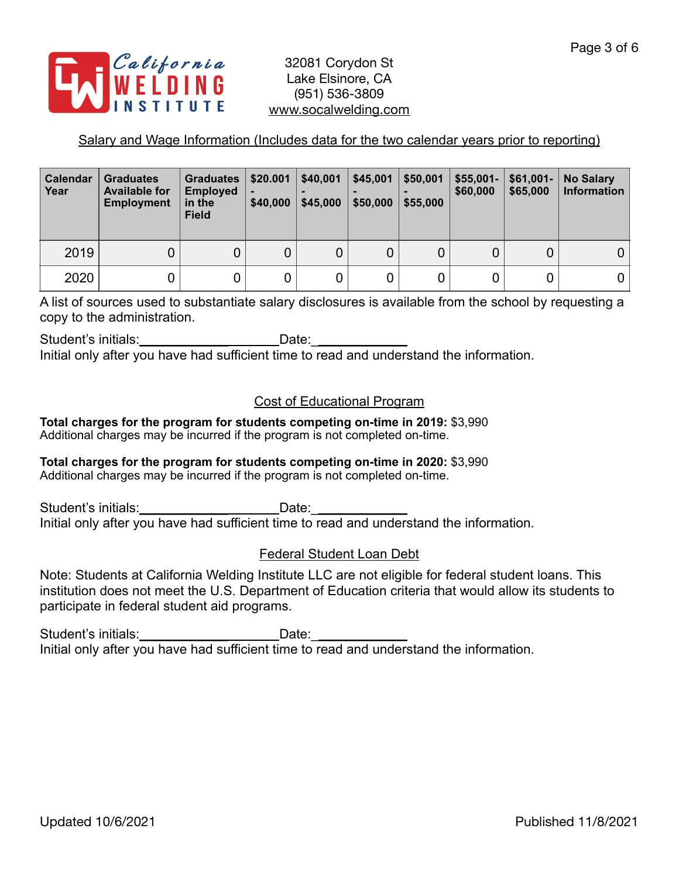

## Salary and Wage Information (Includes data for the two calendar years prior to reporting)

| <b>Calendar</b><br>Year | <b>Graduates</b><br><b>Available for</b><br><b>Employment</b> | <b>Graduates</b><br><b>Employed</b><br>in the<br><b>Field</b> | \$20.001<br>\$40,000 | \$40,001<br>\$45,000 | \$45,001<br>\$50,000 | \$50,001<br>\$55,000 | $$55,001-$<br>\$60,000 | $$61,001-$<br>\$65,000 | <b>No Salary</b><br><b>Information</b> |
|-------------------------|---------------------------------------------------------------|---------------------------------------------------------------|----------------------|----------------------|----------------------|----------------------|------------------------|------------------------|----------------------------------------|
| 2019                    | 0                                                             |                                                               | 0                    | 0                    | 0                    |                      |                        |                        |                                        |
| 2020                    |                                                               |                                                               |                      | 0                    | 0                    |                      |                        |                        | 0                                      |

A list of sources used to substantiate salary disclosures is available from the school by requesting a copy to the administration.

Student's initials: example and Date:

Initial only after you have had sufficient time to read and understand the information.

## Cost of Educational Program

**Total charges for the program for students competing on-time in 2019:** \$3,990 Additional charges may be incurred if the program is not completed on-time.

#### **Total charges for the program for students competing on-time in 2020:** \$3,990 Additional charges may be incurred if the program is not completed on-time.

Student's initials: example and Date: Initial only after you have had sufficient time to read and understand the information.

## Federal Student Loan Debt

Note: Students at California Welding Institute LLC are not eligible for federal student loans. This institution does not meet the U.S. Department of Education criteria that would allow its students to participate in federal student aid programs.

Student's initials: example and Date: Initial only after you have had sufficient time to read and understand the information.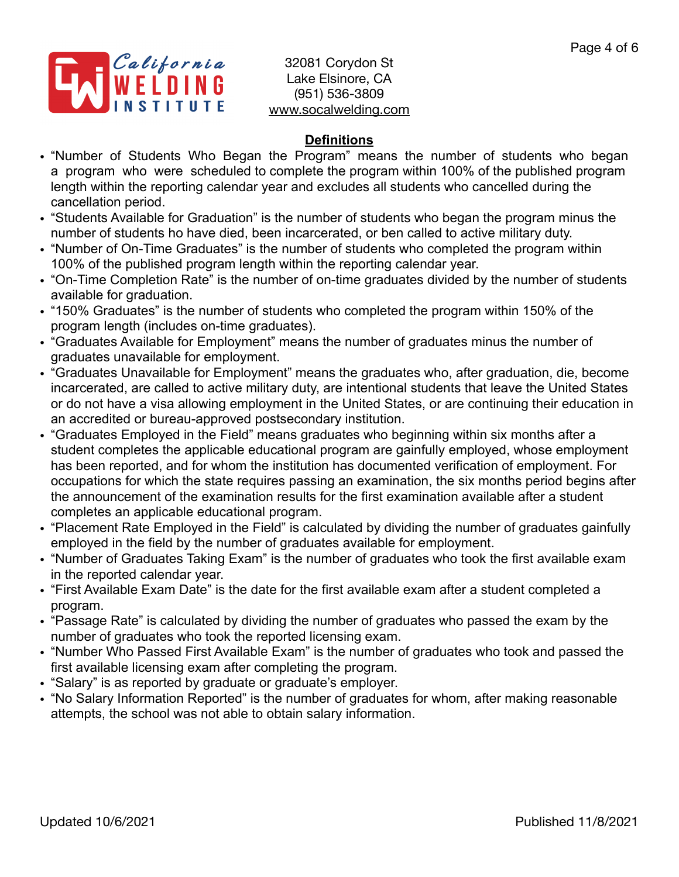

## **Definitions**

- "Number of Students Who Began the Program" means the number of students who began a program who were scheduled to complete the program within 100% of the published program length within the reporting calendar year and excludes all students who cancelled during the cancellation period.
- "Students Available for Graduation" is the number of students who began the program minus the number of students ho have died, been incarcerated, or ben called to active military duty.
- "Number of On-Time Graduates" is the number of students who completed the program within 100% of the published program length within the reporting calendar year.
- "On-Time Completion Rate" is the number of on-time graduates divided by the number of students available for graduation.
- "150% Graduates" is the number of students who completed the program within 150% of the program length (includes on-time graduates).
- "Graduates Available for Employment" means the number of graduates minus the number of graduates unavailable for employment.
- "Graduates Unavailable for Employment" means the graduates who, after graduation, die, become incarcerated, are called to active military duty, are intentional students that leave the United States or do not have a visa allowing employment in the United States, or are continuing their education in an accredited or bureau-approved postsecondary institution.
- "Graduates Employed in the Field" means graduates who beginning within six months after a student completes the applicable educational program are gainfully employed, whose employment has been reported, and for whom the institution has documented verification of employment. For occupations for which the state requires passing an examination, the six months period begins after the announcement of the examination results for the first examination available after a student completes an applicable educational program.
- "Placement Rate Employed in the Field" is calculated by dividing the number of graduates gainfully employed in the field by the number of graduates available for employment.
- "Number of Graduates Taking Exam" is the number of graduates who took the first available exam in the reported calendar year.
- "First Available Exam Date" is the date for the first available exam after a student completed a program.
- "Passage Rate" is calculated by dividing the number of graduates who passed the exam by the number of graduates who took the reported licensing exam.
- "Number Who Passed First Available Exam" is the number of graduates who took and passed the first available licensing exam after completing the program.
- "Salary" is as reported by graduate or graduate's employer.
- "No Salary Information Reported" is the number of graduates for whom, after making reasonable attempts, the school was not able to obtain salary information.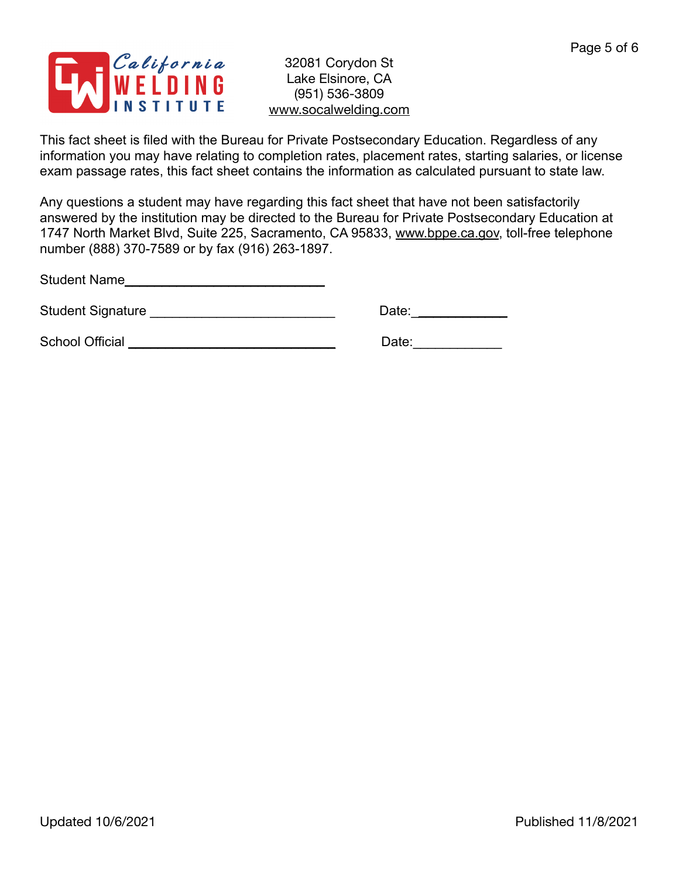

This fact sheet is filed with the Bureau for Private Postsecondary Education. Regardless of any information you may have relating to completion rates, placement rates, starting salaries, or license exam passage rates, this fact sheet contains the information as calculated pursuant to state law.

Any questions a student may have regarding this fact sheet that have not been satisfactorily answered by the institution may be directed to the Bureau for Private Postsecondary Education at 1747 North Market Blvd, Suite 225, Sacramento, CA 95833, [www.bppe.ca.gov](http://www.bppe.ca.gov), toll-free telephone number (888) 370-7589 or by fax (916) 263-1897.

Student Name\_\_\_\_\_\_\_\_\_\_\_\_\_\_\_\_\_\_\_\_\_\_\_\_\_\_\_

Student Signature \_\_\_\_\_\_\_\_\_\_\_\_\_\_\_\_\_\_\_\_\_\_\_\_\_ Date:\_\_\_\_\_\_\_\_\_\_\_\_\_

School Official \_\_\_\_\_\_\_\_\_\_\_\_\_\_\_\_\_\_\_\_\_\_\_\_\_\_\_\_ Date:\_\_\_\_\_\_\_\_\_\_\_\_